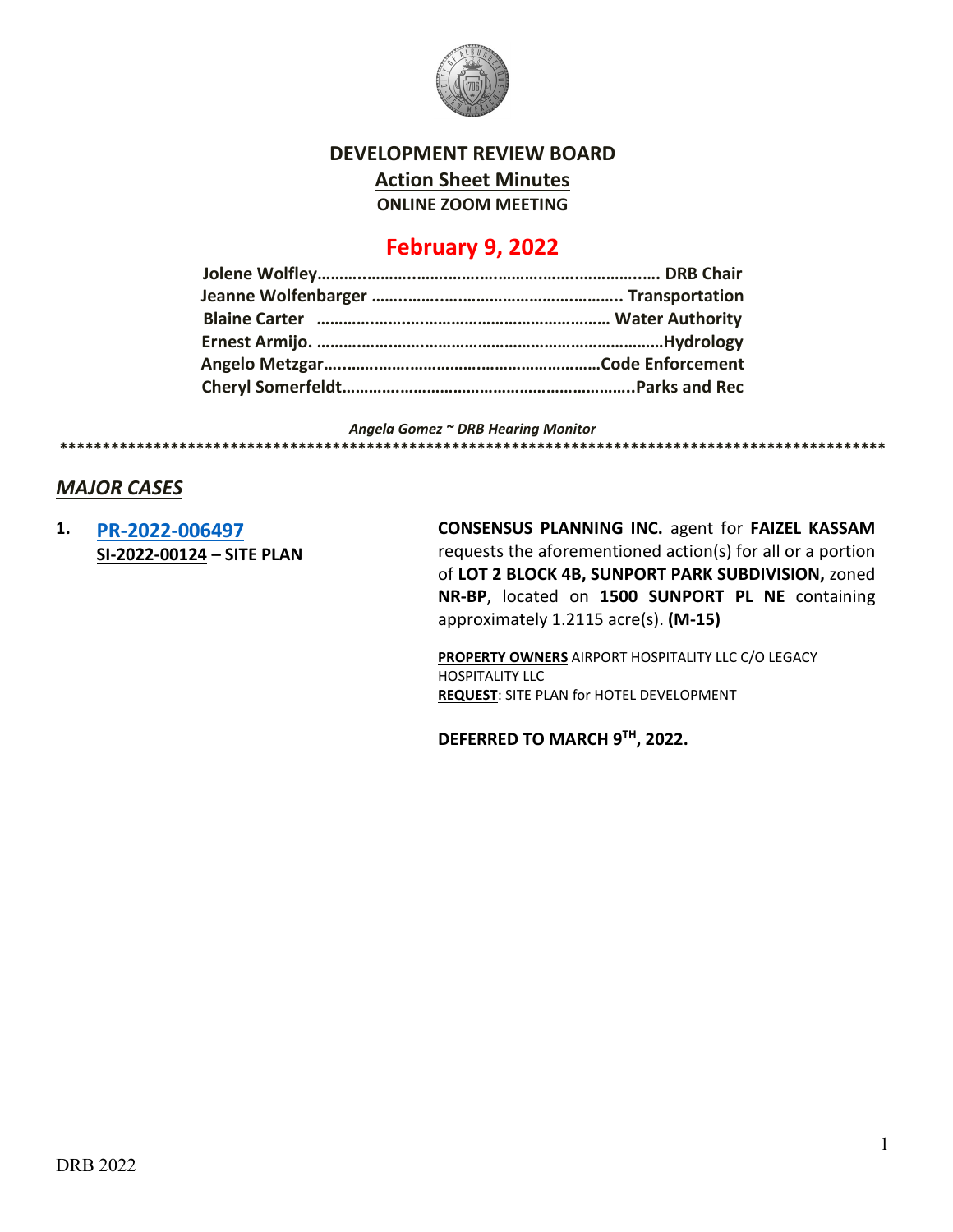

## **DEVELOPMENT REVIEW BOARD Action Sheet Minutes ONLINE ZOOM MEETING**

# **February 9, 2022**

*Angela Gomez ~ DRB Hearing Monitor* **\*\*\*\*\*\*\*\*\*\*\*\*\*\*\*\*\*\*\*\*\*\*\*\*\*\*\*\*\*\*\*\*\*\*\*\*\*\*\*\*\*\*\*\*\*\*\*\*\*\*\*\*\*\*\*\*\*\*\*\*\*\*\*\*\*\*\*\*\*\*\*\*\*\*\*\*\*\*\*\*\*\*\*\*\*\*\*\*\*\*\*\*\*\*\*\*\***

### *MAJOR CASES*

**1. [PR-2022-006497](http://data.cabq.gov/government/planning/DRB/PR-2022-006497/DRB%20Submittals/PR-2022-006497_February_9_2022%20(Site%20Plan)/Application/APPLICATION%20-%20Site%20Plan_DRB_1500%20Sunport%20Pl.%20SE(1).pdf) SI-2022-00124 – SITE PLAN** **CONSENSUS PLANNING INC.** agent for **FAIZEL KASSAM** requests the aforementioned action(s) for all or a portion of **LOT 2 BLOCK 4B, SUNPORT PARK SUBDIVISION,** zoned **NR-BP**, located on **1500 SUNPORT PL NE** containing approximately 1.2115 acre(s). **(M-15)** 

**PROPERTY OWNERS** AIRPORT HOSPITALITY LLC C/O LEGACY HOSPITALITY LLC **REQUEST**: SITE PLAN for HOTEL DEVELOPMENT

**DEFERRED TO MARCH 9TH, 2022.**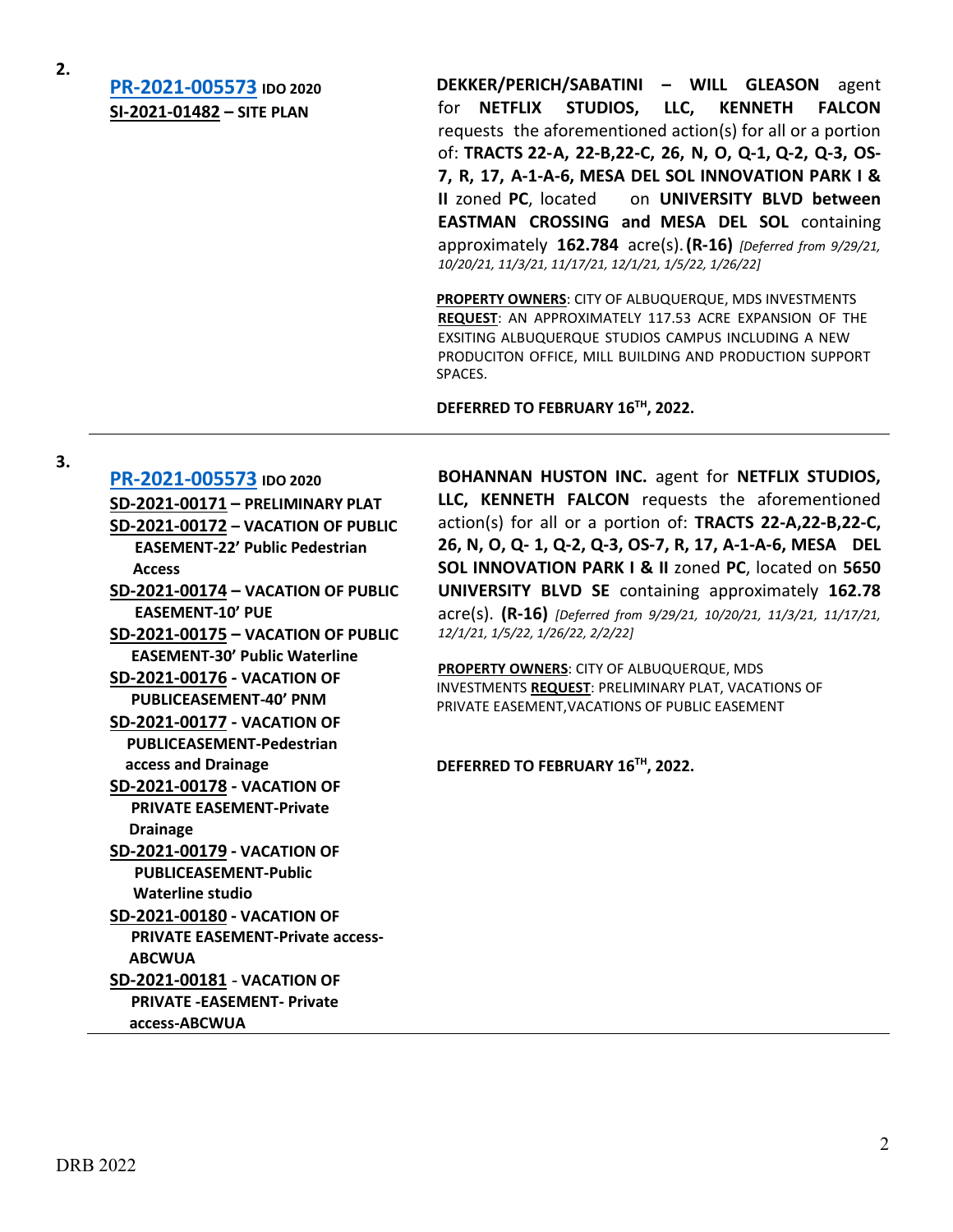**2.**

**[PR-2021-005573](http://data.cabq.gov/government/planning/DRB/PR-2021-005573/DRB%20Submittals/) IDO 2020 SI-2021-01482 – SITE PLAN**

**DEKKER/PERICH/SABATINI – WILL GLEASON** agent for **NETFLIX STUDIOS, LLC, KENNETH FALCON** requests the aforementioned action(s) for all or a portion of: **TRACTS 22-A, 22-B,22-C, 26, N, O, Q-1, Q-2, Q-3, OS-7, R, 17, A-1-A-6, MESA DEL SOL INNOVATION PARK I & II** zoned **PC**, located on **UNIVERSITY BLVD between EASTMAN CROSSING and MESA DEL SOL** containing approximately **162.784** acre(s).**(R-16)** *[Deferred from 9/29/21, 10/20/21, 11/3/21, 11/17/21, 12/1/21, 1/5/22, 1/26/22]*

**PROPERTY OWNERS**: CITY OF ALBUQUERQUE, MDS INVESTMENTS **REQUEST**: AN APPROXIMATELY 117.53 ACRE EXPANSION OF THE EXSITING ALBUQUERQUE STUDIOS CAMPUS INCLUDING A NEW PRODUCITON OFFICE, MILL BUILDING AND PRODUCTION SUPPORT SPACES.

**DEFERRED TO FEBRUARY 16TH, 2022.**

**3.**

**[PR-2021-005573](http://data.cabq.gov/government/planning/DRB/PR-2021-005573/DRB%20Submittals/) IDO 2020 SD-2021-00171 – PRELIMINARY PLAT SD-2021-00172 – VACATION OF PUBLIC EASEMENT-22' Public Pedestrian Access SD-2021-00174 – VACATION OF PUBLIC EASEMENT-10' PUE SD-2021-00175 – VACATION OF PUBLIC EASEMENT-30' Public Waterline SD-2021-00176 - VACATION OF PUBLICEASEMENT-40' PNM SD-2021-00177 - VACATION OF PUBLICEASEMENT-Pedestrian access and Drainage SD-2021-00178 - VACATION OF PRIVATE EASEMENT-Private Drainage SD-2021-00179 - VACATION OF PUBLICEASEMENT-Public Waterline studio SD-2021-00180 - VACATION OF PRIVATE EASEMENT-Private access- ABCWUA SD-2021-00181** - **VACATION OF PRIVATE -EASEMENT- Private access-ABCWUA**

**BOHANNAN HUSTON INC.** agent for **NETFLIX STUDIOS, LLC, KENNETH FALCON** requests the aforementioned action(s) for all or a portion of: **TRACTS 22-A,22-B,22-C, 26, N, O, Q- 1, Q-2, Q-3, OS-7, R, 17, A-1-A-6, MESA DEL SOL INNOVATION PARK I & II** zoned **PC**, located on **5650 UNIVERSITY BLVD SE** containing approximately **162.78** acre(s). **(R-16)** *[Deferred from 9/29/21, 10/20/21, 11/3/21, 11/17/21, 12/1/21, 1/5/22, 1/26/22, 2/2/22]*

**PROPERTY OWNERS**: CITY OF ALBUQUERQUE, MDS INVESTMENTS **REQUEST**: PRELIMINARY PLAT, VACATIONS OF PRIVATE EASEMENT,VACATIONS OF PUBLIC EASEMENT

**DEFERRED TO FEBRUARY 16TH, 2022.**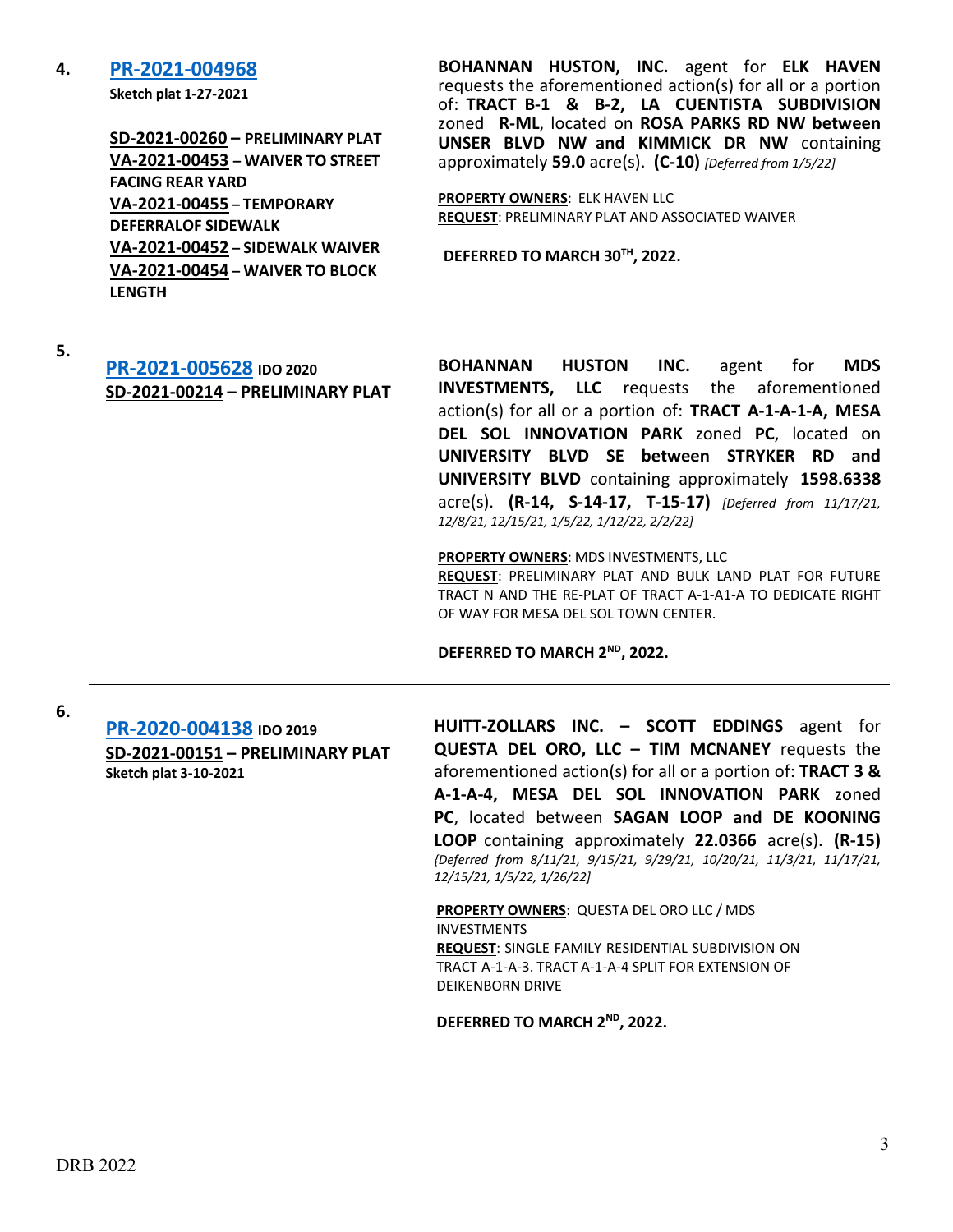#### **4. [PR-2021-004968](http://data.cabq.gov/government/planning/DRB/PR-2021-004968/DRB%20Submittals/PR-2021-004968_Jan_5_2022_(PP,%20TDSW,%20Waiver%20x3)/Original%20Application/0000Digital%20Submittal_12-10-2021%20(1).pdf)**

**Sketch plat 1-27-2021**

**SD-2021-00260 – PRELIMINARY PLAT VA-2021-00453 – WAIVER TO STREET FACING REAR YARD VA-2021-00455 – TEMPORARY DEFERRALOF SIDEWALK VA-2021-00452 – SIDEWALK WAIVER VA-2021-00454 – WAIVER TO BLOCK LENGTH**

**BOHANNAN HUSTON, INC.** agent for **ELK HAVEN** requests the aforementioned action(s) for all or a portion of: **TRACT B-1 & B-2, LA CUENTISTA SUBDIVISION** zoned **R-ML**, located on **ROSA PARKS RD NW between UNSER BLVD NW and KIMMICK DR NW** containing approximately **59.0** acre(s). **(C-10)** *[Deferred from 1/5/22]*

**PROPERTY OWNERS**: ELK HAVEN LLC **REQUEST**: PRELIMINARY PLAT AND ASSOCIATED WAIVER

**DEFERRED TO MARCH 30TH, 2022.**

**5.**

**[PR-2021-005628](http://data.cabq.gov/government/planning/DRB/PR-2021-005628/DRB%20Submittals/) IDO 2020 SD-2021-00214 – PRELIMINARY PLAT** **BOHANNAN HUSTON INC.** agent for **MDS INVESTMENTS, LLC** requests the aforementioned action(s) for all or a portion of: **TRACT A-1-A-1-A, MESA DEL SOL INNOVATION PARK** zoned **PC**, located on **UNIVERSITY BLVD SE between STRYKER RD and UNIVERSITY BLVD** containing approximately **1598.6338** acre(s). **(R-14, S-14-17, T-15-17)** *[Deferred from 11/17/21, 12/8/21, 12/15/21, 1/5/22, 1/12/22, 2/2/22]*

**PROPERTY OWNERS**: MDS INVESTMENTS, LLC

**REQUEST**: PRELIMINARY PLAT AND BULK LAND PLAT FOR FUTURE TRACT N AND THE RE-PLAT OF TRACT A-1-A1-A TO DEDICATE RIGHT OF WAY FOR MESA DEL SOL TOWN CENTER.

**DEFERRED TO MARCH 2ND, 2022.**

**6.**

**[PR-2020-004138](http://data.cabq.gov/government/planning/DRB/PR-2020-004138/DRB%20Submittals/) IDO 2019 SD-2021-00151 – PRELIMINARY PLAT Sketch plat 3-10-2021**

**HUITT-ZOLLARS INC. – SCOTT EDDINGS** agent for **QUESTA DEL ORO, LLC – TIM MCNANEY** requests the aforementioned action(s) for all or a portion of: **TRACT 3 & A-1-A-4, MESA DEL SOL INNOVATION PARK** zoned **PC**, located between **SAGAN LOOP and DE KOONING LOOP** containing approximately **22.0366** acre(s). **(R-15)** *{Deferred from 8/11/21, 9/15/21, 9/29/21, 10/20/21, 11/3/21, 11/17/21, 12/15/21, 1/5/22, 1/26/22]*

**PROPERTY OWNERS**: QUESTA DEL ORO LLC / MDS INVESTMENTS **REQUEST**: SINGLE FAMILY RESIDENTIAL SUBDIVISION ON TRACT A-1-A-3. TRACT A-1-A-4 SPLIT FOR EXTENSION OF DEIKENBORN DRIVE

**DEFERRED TO MARCH 2ND, 2022.**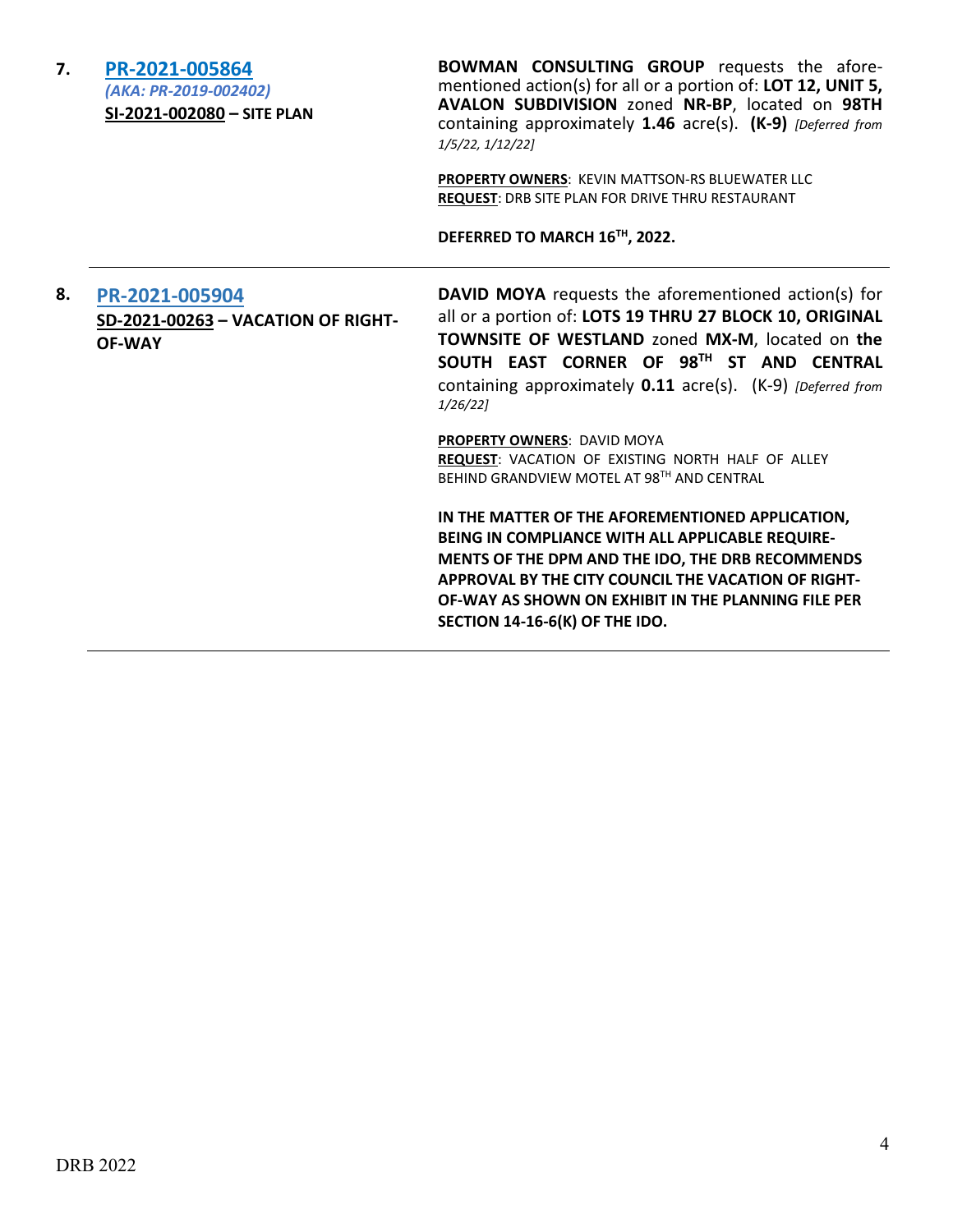| 7. | PR-2021-005864<br>(AKA: PR-2019-002402)<br>SI-2021-002080 - SITE PLAN | BOWMAN CONSULTING GROUP requests the afore-<br>mentioned action(s) for all or a portion of: LOT 12, UNIT 5,<br>AVALON SUBDIVISION zoned NR-BP, located on 98TH<br>containing approximately 1.46 acre(s). (K-9) [Deferred from<br>1/5/22, 1/12/22]                                                        |
|----|-----------------------------------------------------------------------|----------------------------------------------------------------------------------------------------------------------------------------------------------------------------------------------------------------------------------------------------------------------------------------------------------|
|    |                                                                       | <b>PROPERTY OWNERS: KEVIN MATTSON-RS BLUEWATER LLC</b><br><b>REQUEST: DRB SITE PLAN FOR DRIVE THRU RESTAURANT</b>                                                                                                                                                                                        |
|    |                                                                       | DEFERRED TO MARCH 16TH, 2022.                                                                                                                                                                                                                                                                            |
| 8. | PR-2021-005904<br>SD-2021-00263 - VACATION OF RIGHT-<br><b>OF-WAY</b> | <b>DAVID MOYA</b> requests the aforementioned action(s) for<br>all or a portion of: LOTS 19 THRU 27 BLOCK 10, ORIGINAL<br>TOWNSITE OF WESTLAND zoned MX-M, located on the<br>SOUTH EAST CORNER OF 98TH ST AND CENTRAL<br>containing approximately 0.11 acre(s). (K-9) [Deferred from<br>$1/26/22$ ]      |
|    |                                                                       | PROPERTY OWNERS: DAVID MOYA<br>REQUEST: VACATION OF EXISTING NORTH HALF OF ALLEY<br>BEHIND GRANDVIEW MOTEL AT 98TH AND CENTRAL                                                                                                                                                                           |
|    |                                                                       | IN THE MATTER OF THE AFOREMENTIONED APPLICATION,<br>BEING IN COMPLIANCE WITH ALL APPLICABLE REQUIRE-<br>MENTS OF THE DPM AND THE IDO, THE DRB RECOMMENDS<br>APPROVAL BY THE CITY COUNCIL THE VACATION OF RIGHT-<br>OF-WAY AS SHOWN ON EXHIBIT IN THE PLANNING FILE PER<br>SECTION 14-16-6(K) OF THE IDO. |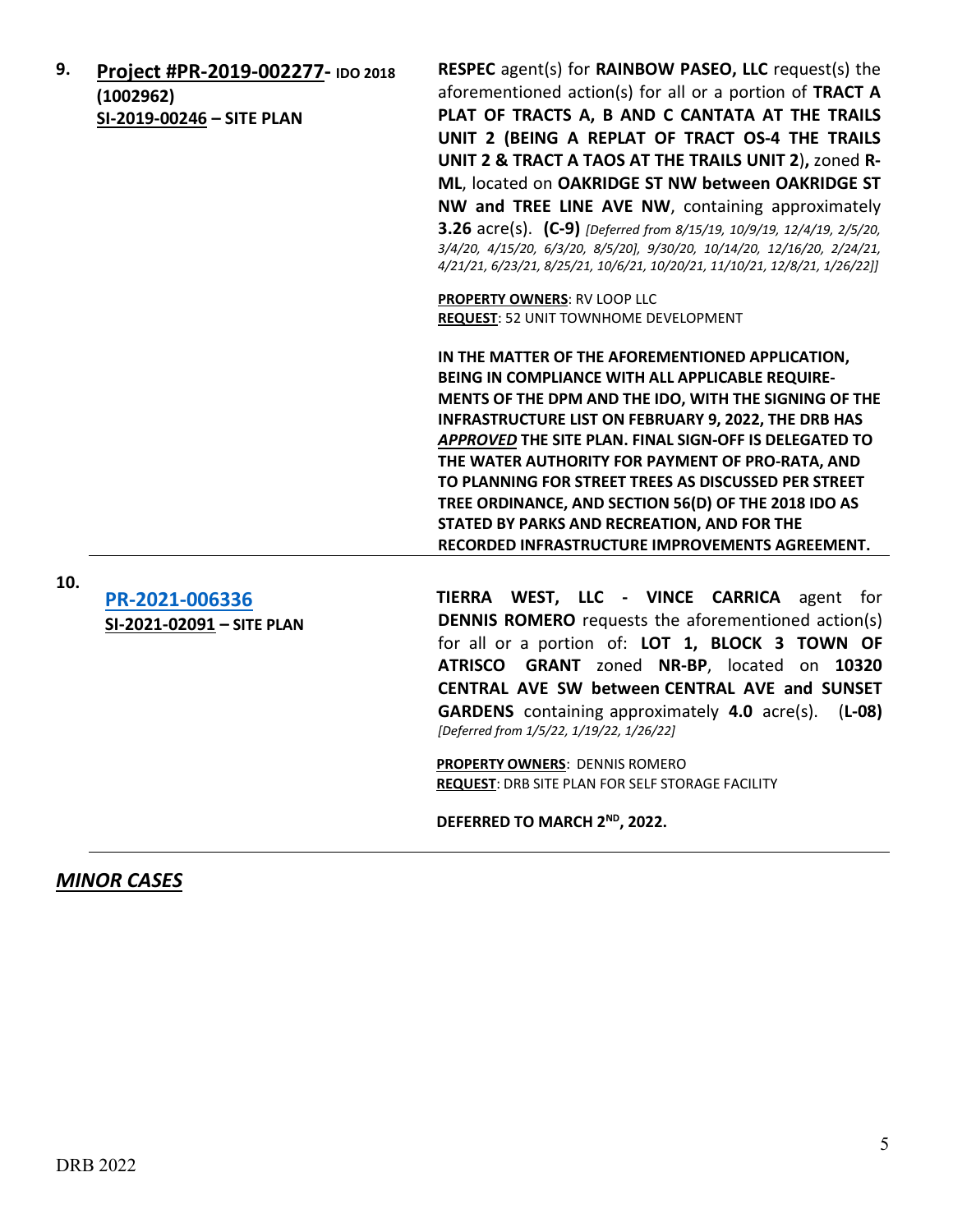| 9.  | Project #PR-2019-002277- IDO 2018<br>(1002962)<br>SI-2019-00246 - SITE PLAN | RESPEC agent(s) for RAINBOW PASEO, LLC request(s) the<br>aforementioned action(s) for all or a portion of TRACT A<br>PLAT OF TRACTS A, B AND C CANTATA AT THE TRAILS<br>UNIT 2 (BEING A REPLAT OF TRACT OS-4 THE TRAILS<br>UNIT 2 & TRACT A TAOS AT THE TRAILS UNIT 2), zoned R-<br>ML, located on OAKRIDGE ST NW between OAKRIDGE ST<br>NW and TREE LINE AVE NW, containing approximately<br><b>3.26</b> acre(s). (C-9) [Deferred from 8/15/19, 10/9/19, 12/4/19, 2/5/20,<br>3/4/20, 4/15/20, 6/3/20, 8/5/20], 9/30/20, 10/14/20, 12/16/20, 2/24/21,<br>4/21/21, 6/23/21, 8/25/21, 10/6/21, 10/20/21, 11/10/21, 12/8/21, 1/26/22]] |
|-----|-----------------------------------------------------------------------------|-------------------------------------------------------------------------------------------------------------------------------------------------------------------------------------------------------------------------------------------------------------------------------------------------------------------------------------------------------------------------------------------------------------------------------------------------------------------------------------------------------------------------------------------------------------------------------------------------------------------------------------|
|     |                                                                             | PROPERTY OWNERS: RV LOOP LLC<br>REQUEST: 52 UNIT TOWNHOME DEVELOPMENT                                                                                                                                                                                                                                                                                                                                                                                                                                                                                                                                                               |
|     |                                                                             | IN THE MATTER OF THE AFOREMENTIONED APPLICATION,<br>BEING IN COMPLIANCE WITH ALL APPLICABLE REQUIRE-<br>MENTS OF THE DPM AND THE IDO, WITH THE SIGNING OF THE<br><b>INFRASTRUCTURE LIST ON FEBRUARY 9, 2022, THE DRB HAS</b><br>APPROVED THE SITE PLAN. FINAL SIGN-OFF IS DELEGATED TO<br>THE WATER AUTHORITY FOR PAYMENT OF PRO-RATA, AND<br>TO PLANNING FOR STREET TREES AS DISCUSSED PER STREET<br>TREE ORDINANCE, AND SECTION 56(D) OF THE 2018 IDO AS<br>STATED BY PARKS AND RECREATION, AND FOR THE<br>RECORDED INFRASTRUCTURE IMPROVEMENTS AGREEMENT.                                                                        |
| 10. | PR-2021-006336<br>SI-2021-02091 - SITE PLAN                                 | TIERRA WEST, LLC - VINCE CARRICA agent for<br><b>DENNIS ROMERO</b> requests the aforementioned action(s)<br>for all or a portion of: LOT 1, BLOCK 3 TOWN OF<br>ATRISCO GRANT zoned NR-BP, located on 10320<br>CENTRAL AVE SW between CENTRAL AVE and SUNSET<br><b>GARDENS</b> containing approximately 4.0 acre(s).<br>$(L-08)$<br>[Deferred from 1/5/22, 1/19/22, 1/26/22]<br><b>PROPERTY OWNERS: DENNIS ROMERO</b><br><b>REQUEST: DRB SITE PLAN FOR SELF STORAGE FACILITY</b>                                                                                                                                                     |
|     |                                                                             | DEFERRED TO MARCH 2ND, 2022.                                                                                                                                                                                                                                                                                                                                                                                                                                                                                                                                                                                                        |

# *MINOR CASES*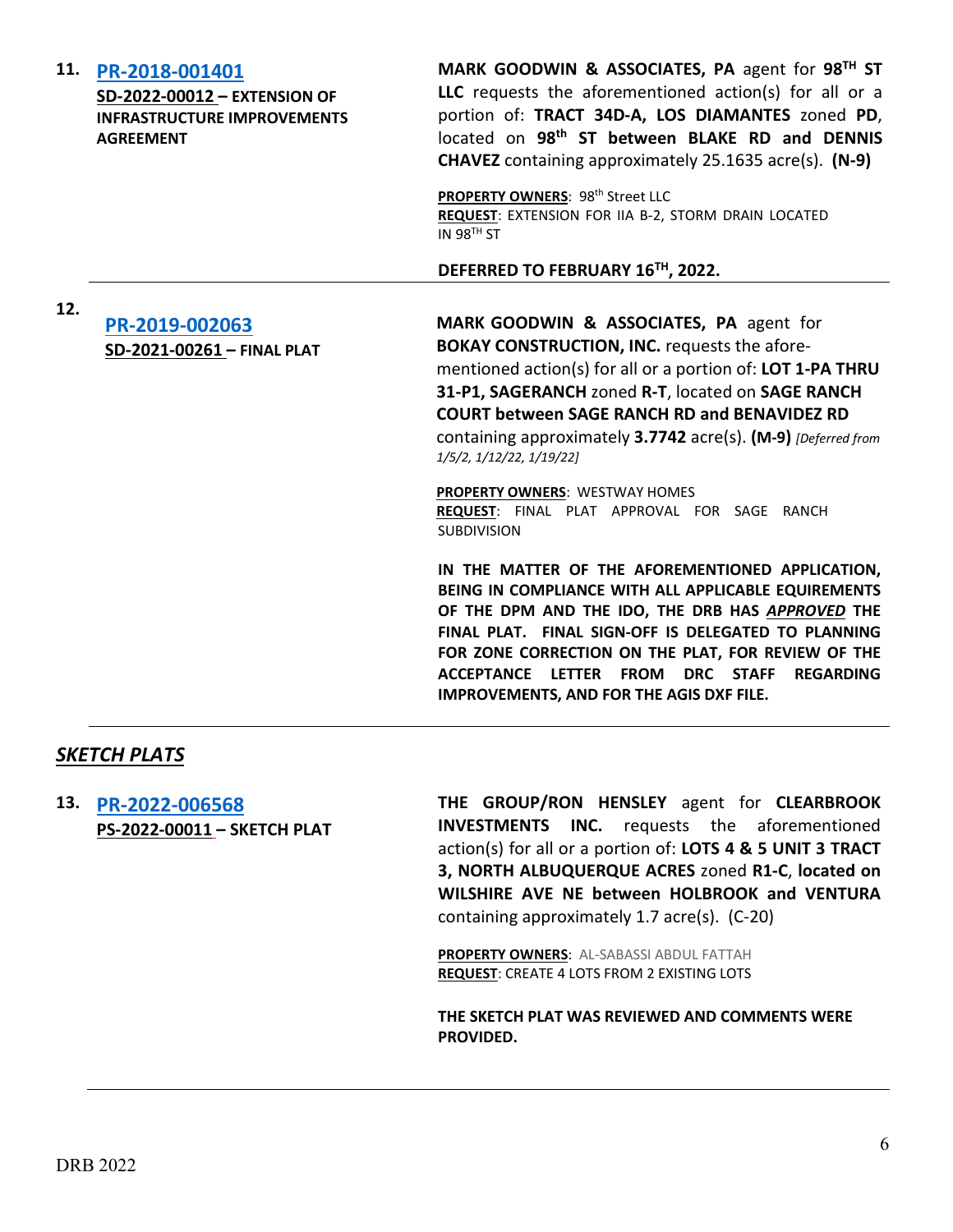| 11. | PR-2018-001401<br>SD-2022-00012 - EXTENSION OF<br><b>INFRASTRUCTURE IMPROVEMENTS</b><br><b>AGREEMENT</b> | MARK GOODWIN & ASSOCIATES, PA agent for 98 <sup>TH</sup> ST<br>LLC requests the aforementioned action(s) for all or a<br>portion of: TRACT 34D-A, LOS DIAMANTES zoned PD,<br>located on 98 <sup>th</sup> ST between BLAKE RD and DENNIS<br><b>CHAVEZ</b> containing approximately 25.1635 acre(s). (N-9)                            |
|-----|----------------------------------------------------------------------------------------------------------|-------------------------------------------------------------------------------------------------------------------------------------------------------------------------------------------------------------------------------------------------------------------------------------------------------------------------------------|
|     |                                                                                                          | PROPERTY OWNERS: 98 <sup>th</sup> Street LLC<br>REQUEST: EXTENSION FOR IIA B-2, STORM DRAIN LOCATED<br><b>IN 98<sup>TH</sup> ST</b>                                                                                                                                                                                                 |
|     |                                                                                                          | DEFERRED TO FEBRUARY 16TH, 2022.                                                                                                                                                                                                                                                                                                    |
| 12. |                                                                                                          |                                                                                                                                                                                                                                                                                                                                     |
|     | PR-2019-002063                                                                                           | MARK GOODWIN & ASSOCIATES, PA agent for                                                                                                                                                                                                                                                                                             |
|     | SD-2021-00261 - FINAL PLAT                                                                               | <b>BOKAY CONSTRUCTION, INC. requests the afore-</b>                                                                                                                                                                                                                                                                                 |
|     |                                                                                                          | mentioned action(s) for all or a portion of: LOT 1-PA THRU                                                                                                                                                                                                                                                                          |
|     |                                                                                                          | 31-P1, SAGERANCH zoned R-T, located on SAGE RANCH                                                                                                                                                                                                                                                                                   |
|     |                                                                                                          | <b>COURT between SAGE RANCH RD and BENAVIDEZ RD</b><br>containing approximately 3.7742 acre(s). (M-9) [Deferred from<br>1/5/2, 1/12/22, 1/19/22]                                                                                                                                                                                    |
|     |                                                                                                          | <b>PROPERTY OWNERS: WESTWAY HOMES</b>                                                                                                                                                                                                                                                                                               |
|     |                                                                                                          | REQUEST: FINAL PLAT APPROVAL FOR SAGE RANCH<br><b>SUBDIVISION</b>                                                                                                                                                                                                                                                                   |
|     |                                                                                                          | IN THE MATTER OF THE AFOREMENTIONED APPLICATION,<br>BEING IN COMPLIANCE WITH ALL APPLICABLE EQUIREMENTS<br>OF THE DPM AND THE IDO, THE DRB HAS APPROVED THE<br>FINAL PLAT. FINAL SIGN-OFF IS DELEGATED TO PLANNING<br>FOR ZONE CORRECTION ON THE PLAT, FOR REVIEW OF THE<br>ACCEPTANCE LETTER FROM<br>DRC STAFF<br><b>REGARDING</b> |

### *SKETCH PLATS*

**13. [PR-2022-006568](http://data.cabq.gov/government/planning/DRB/) PS-2022-00011 – SKETCH PLAT** **THE GROUP/RON HENSLEY** agent for **CLEARBROOK INVESTMENTS INC.** requests the aforementioned action(s) for all or a portion of: **LOTS 4 & 5 UNIT 3 TRACT 3, NORTH ALBUQUERQUE ACRES** zoned **R1-C**, **located on WILSHIRE AVE NE between HOLBROOK and VENTURA** containing approximately 1.7 acre(s). (C-20)

**PROPERTY OWNERS**: AL-SABASSI ABDUL FATTAH **REQUEST**: CREATE 4 LOTS FROM 2 EXISTING LOTS

**IMPROVEMENTS, AND FOR THE AGIS DXF FILE.**

**THE SKETCH PLAT WAS REVIEWED AND COMMENTS WERE PROVIDED.**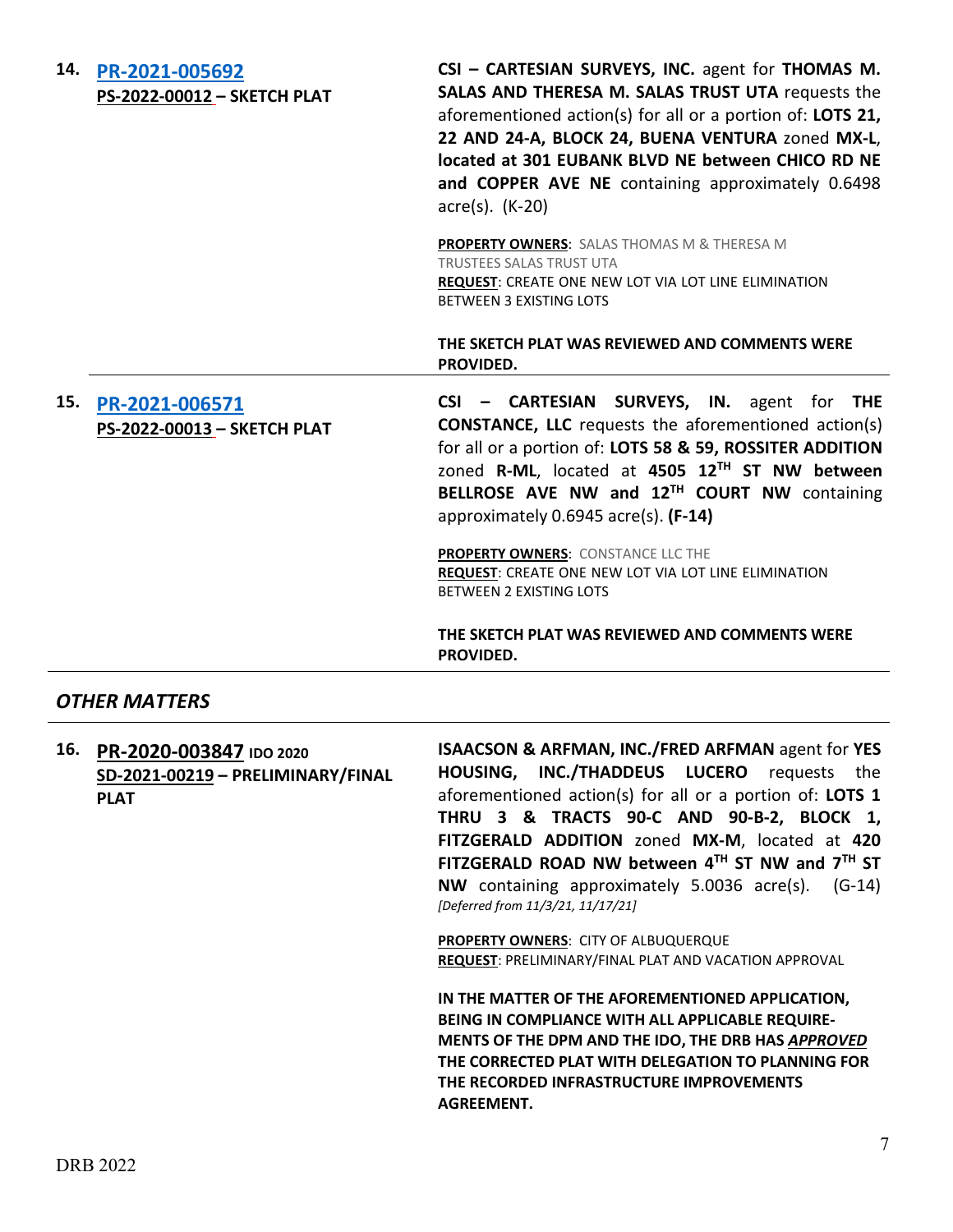| 14. | PR-2021-005692<br>PS-2022-00012 - SKETCH PLAT | CSI - CARTESIAN SURVEYS, INC. agent for THOMAS M.<br>SALAS AND THERESA M. SALAS TRUST UTA requests the<br>aforementioned action(s) for all or a portion of: LOTS 21,<br>22 AND 24-A, BLOCK 24, BUENA VENTURA zoned MX-L,<br>located at 301 EUBANK BLVD NE between CHICO RD NE<br>and COPPER AVE NE containing approximately 0.6498<br>$\arccos(5)$ . (K-20)<br>PROPERTY OWNERS: SALAS THOMAS M & THERESA M<br>TRUSTEES SALAS TRUST UTA<br><b>REQUEST: CREATE ONE NEW LOT VIA LOT LINE ELIMINATION</b><br><b>BETWEEN 3 EXISTING LOTS</b> |
|-----|-----------------------------------------------|-----------------------------------------------------------------------------------------------------------------------------------------------------------------------------------------------------------------------------------------------------------------------------------------------------------------------------------------------------------------------------------------------------------------------------------------------------------------------------------------------------------------------------------------|
|     |                                               | THE SKETCH PLAT WAS REVIEWED AND COMMENTS WERE<br>PROVIDED.                                                                                                                                                                                                                                                                                                                                                                                                                                                                             |
| 15. | PR-2021-006571<br>PS-2022-00013 - SKETCH PLAT | CSI - CARTESIAN SURVEYS, IN. agent for THE<br><b>CONSTANCE, LLC</b> requests the aforementioned action(s)<br>for all or a portion of: LOTS 58 & 59, ROSSITER ADDITION<br>zoned R-ML, located at 4505 12TH ST NW between<br>BELLROSE AVE NW and 12TH COURT NW containing<br>approximately 0.6945 acre(s). (F-14)<br>PROPERTY OWNERS: CONSTANCE LLC THE                                                                                                                                                                                   |
|     |                                               | <b>REQUEST: CREATE ONE NEW LOT VIA LOT LINE ELIMINATION</b><br><b>BETWEEN 2 EXISTING LOTS</b>                                                                                                                                                                                                                                                                                                                                                                                                                                           |
|     |                                               | THE SKETCH PLAT WAS REVIEWED AND COMMENTS WERE<br>PROVIDED.                                                                                                                                                                                                                                                                                                                                                                                                                                                                             |

## *OTHER MATTERS*

| 16. | PR-2020-003847 IDO 2020<br>SD-2021-00219 - PRELIMINARY/FINAL<br><b>PLAT</b> | <b>ISAACSON &amp; ARFMAN, INC./FRED ARFMAN agent for YES</b><br>HOUSING, INC./THADDEUS LUCERO requests the<br>aforementioned action(s) for all or a portion of: <b>LOTS 1</b><br>THRU 3 & TRACTS 90-C AND 90-B-2, BLOCK 1, |
|-----|-----------------------------------------------------------------------------|----------------------------------------------------------------------------------------------------------------------------------------------------------------------------------------------------------------------------|
|     |                                                                             | FITZGERALD ADDITION zoned MX-M, located at 420                                                                                                                                                                             |
|     |                                                                             | FITZGERALD ROAD NW between $4^{TH}$ ST NW and $7^{TH}$ ST                                                                                                                                                                  |
|     |                                                                             | NW containing approximately 5.0036 acre(s).<br>$(G-14)$                                                                                                                                                                    |
|     |                                                                             | [Deferred from 11/3/21, 11/17/21]                                                                                                                                                                                          |
|     |                                                                             | <b>PROPERTY OWNERS: CITY OF ALBUQUERQUE</b>                                                                                                                                                                                |
|     |                                                                             | <b>REQUEST: PRELIMINARY/FINAL PLAT AND VACATION APPROVAL</b>                                                                                                                                                               |
|     |                                                                             | IN THE MATTER OF THE AFOREMENTIONED APPLICATION,                                                                                                                                                                           |
|     |                                                                             | BEING IN COMPLIANCE WITH ALL APPLICABLE REQUIRE-                                                                                                                                                                           |
|     |                                                                             | MENTS OF THE DPM AND THE IDO, THE DRB HAS APPROVED                                                                                                                                                                         |
|     |                                                                             | THE CORRECTED PLAT WITH DELEGATION TO PLANNING FOR                                                                                                                                                                         |
|     |                                                                             | THE RECORDED INFRASTRUCTURE IMPROVEMENTS                                                                                                                                                                                   |
|     |                                                                             | <b>AGREEMENT.</b>                                                                                                                                                                                                          |